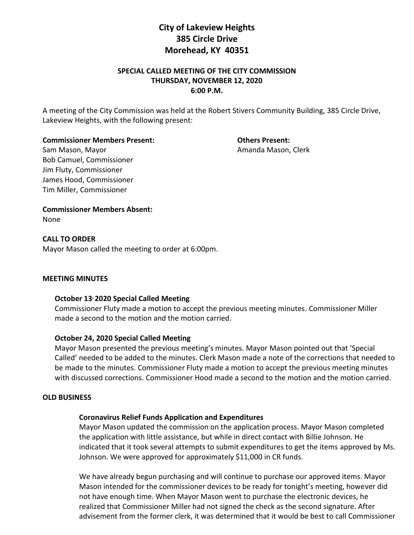# **City of Lakeview Heights 385 Circle Drive Morehead, KY 40351**

# **SPECIAL CALLED MEETING OF THE CITY COMMISSION THURSDAY, NOVEMBER 12, 2020 6:00 P.M.**

A meeting of the City Commission was held at the Robert Stivers Community Building, 385 Circle Drive, Lakeview Heights, with the following present:

**Commissioner Members Present: Others Present:**

Sam Mason, Mayor **Amanda Mason, Clerk** Amanda Mason, Clerk Bob Camuel, Commissioner Jim Fluty, Commissioner James Hood, Commissioner Tim Miller, Commissioner

**Commissioner Members Absent:**  None

**CALL TO ORDER**  Mayor Mason called the meeting to order at 6:00pm.

# **MEETING MINUTES**

# **October 13, 2020 Special Called Meeting**

Commissioner Fluty made a motion to accept the previous meeting minutes. Commissioner Miller made a second to the motion and the motion carried.

# **October 24, 2020 Special Called Meeting**

Mayor Mason presented the previous meeting's minutes. Mayor Mason pointed out that 'Special Called' needed to be added to the minutes. Clerk Mason made a note of the corrections that needed to be made to the minutes. Commissioner Fluty made a motion to accept the previous meeting minutes with discussed corrections. Commissioner Hood made a second to the motion and the motion carried.

#### **OLD BUSINESS**

# **Coronavirus Relief Funds Application and Expenditures**

Mayor Mason updated the commission on the application process. Mayor Mason completed the application with little assistance, but while in direct contact with Billie Johnson. He indicated that it took several attempts to submit expenditures to get the items approved by Ms. Johnson. We were approved for approximately \$11,000 in CR funds.

We have already begun purchasing and will continue to purchase our approved items. Mayor Mason intended for the commissioner devices to be ready for tonight's meeting, however did not have enough time. When Mayor Mason went to purchase the electronic devices, he realized that Commissioner Miller had not signed the check as the second signature. After advisement from the former clerk, it was determined that it would be best to call Commissioner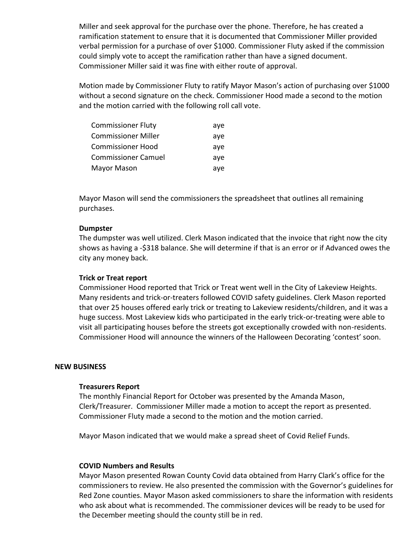Miller and seek approval for the purchase over the phone. Therefore, he has created a ramification statement to ensure that it is documented that Commissioner Miller provided verbal permission for a purchase of over \$1000. Commissioner Fluty asked if the commission could simply vote to accept the ramification rather than have a signed document. Commissioner Miller said it was fine with either route of approval.

Motion made by Commissioner Fluty to ratify Mayor Mason's action of purchasing over \$1000 without a second signature on the check. Commissioner Hood made a second to the motion and the motion carried with the following roll call vote.

| <b>Commissioner Fluty</b>  | aye |
|----------------------------|-----|
| <b>Commissioner Miller</b> | aye |
| <b>Commissioner Hood</b>   | aye |
| <b>Commissioner Camuel</b> | ave |
| Mayor Mason                | aye |

Mayor Mason will send the commissioners the spreadsheet that outlines all remaining purchases.

## **Dumpster**

The dumpster was well utilized. Clerk Mason indicated that the invoice that right now the city shows as having a -\$318 balance. She will determine if that is an error or if Advanced owes the city any money back.

# **Trick or Treat report**

Commissioner Hood reported that Trick or Treat went well in the City of Lakeview Heights. Many residents and trick-or-treaters followed COVID safety guidelines. Clerk Mason reported that over 25 houses offered early trick or treating to Lakeview residents/children, and it was a huge success. Most Lakeview kids who participated in the early trick-or-treating were able to visit all participating houses before the streets got exceptionally crowded with non-residents. Commissioner Hood will announce the winners of the Halloween Decorating 'contest' soon.

#### **NEW BUSINESS**

#### **Treasurers Report**

The monthly Financial Report for October was presented by the Amanda Mason, Clerk/Treasurer. Commissioner Miller made a motion to accept the report as presented. Commissioner Fluty made a second to the motion and the motion carried.

Mayor Mason indicated that we would make a spread sheet of Covid Relief Funds.

#### **COVID Numbers and Results**

Mayor Mason presented Rowan County Covid data obtained from Harry Clark's office for the commissioners to review. He also presented the commission with the Governor's guidelines for Red Zone counties. Mayor Mason asked commissioners to share the information with residents who ask about what is recommended. The commissioner devices will be ready to be used for the December meeting should the county still be in red.